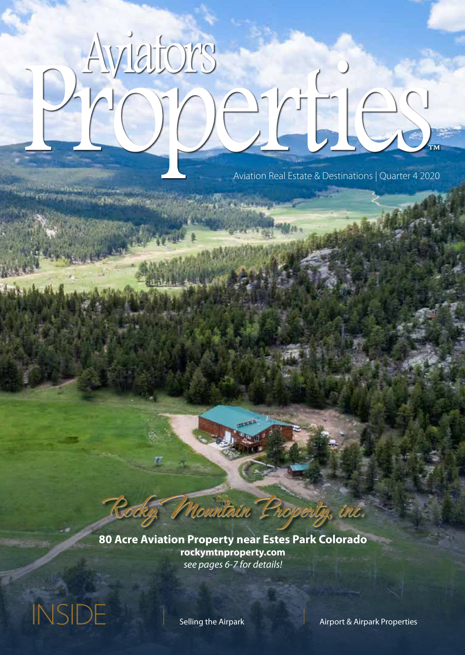# Aviators person

சாலம்ப

**CANGE DOCK TO BOOM** 

Aviation Real Estate & Destinations | Quarter 4 2020

**80 Acre Aviation Property near Estes Park Colorado rockymtnproperty.com** *see pages 6-7 for details!*

Rocky Mountain Property, inc.

INSIDE | Selling the Airpark | Airport & Airpark Properties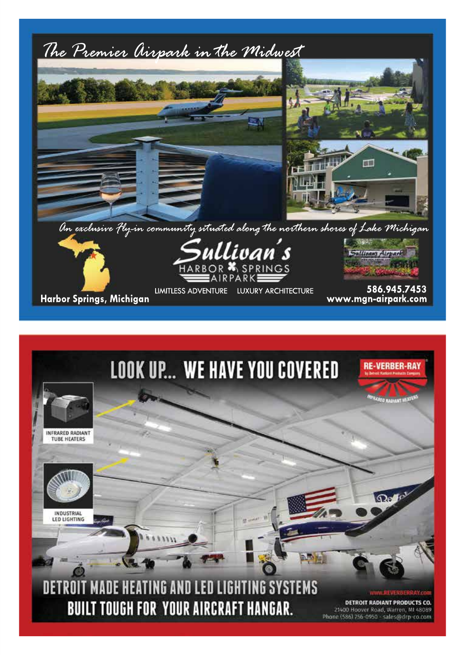

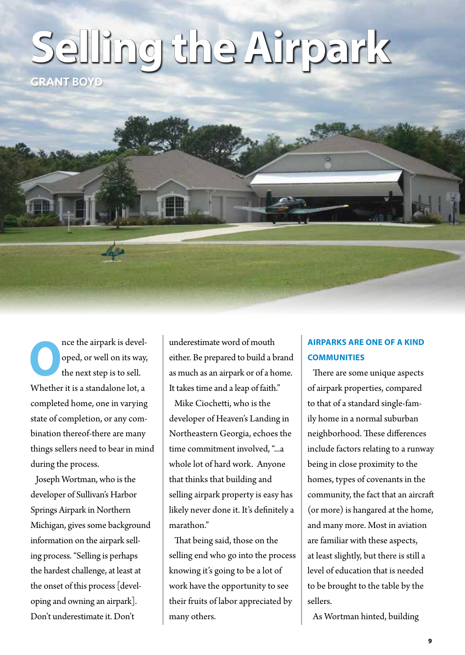# **Selling the Airpark**

GRANT BOYD

The airpark is developed, or well on its way, the next step is to sell. oped, or well on its way, the next step is to sell. Whether it is a standalone lot, a completed home, one in varying state of completion, or any combination thereof-there are many things sellers need to bear in mind during the process.

Joseph Wortman, who is the developer of Sullivan's Harbor Springs Airpark in Northern Michigan, gives some background information on the airpark selling process. "Selling is perhaps the hardest challenge, at least at the onset of this process [developing and owning an airpark]. Don't underestimate it. Don't

underestimate word of mouth either. Be prepared to build a brand as much as an airpark or of a home. It takes time and a leap of faith."

Mike Ciochetti, who is the developer of Heaven's Landing in Northeastern Georgia, echoes the time commitment involved, "...a whole lot of hard work. Anyone that thinks that building and selling airpark property is easy has likely never done it. It's definitely a marathon."

That being said, those on the selling end who go into the process knowing it's going to be a lot of work have the opportunity to see their fruits of labor appreciated by many others.

# **AIRPARKS ARE ONE OF A KIND COMMUNITIES**

There are some unique aspects of airpark properties, compared to that of a standard single-family home in a normal suburban neighborhood. These differences include factors relating to a runway being in close proximity to the homes, types of covenants in the community, the fact that an aircraft (or more) is hangared at the home, and many more. Most in aviation are familiar with these aspects, at least slightly, but there is still a level of education that is needed to be brought to the table by the sellers.

As Wortman hinted, building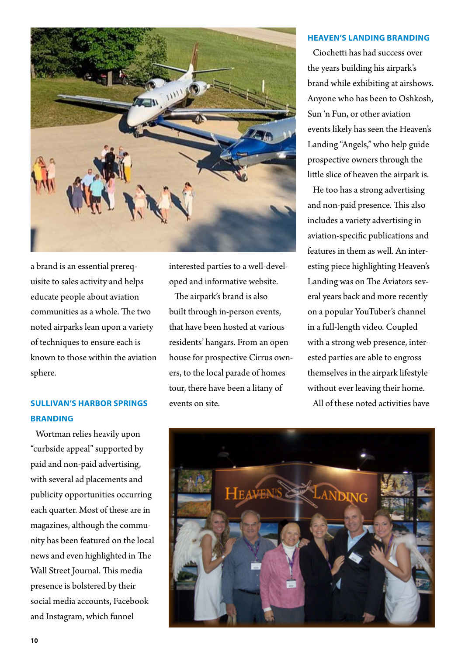

a brand is an essential prerequisite to sales activity and helps educate people about aviation communities as a whole. The two noted airparks lean upon a variety of techniques to ensure each is known to those within the aviation sphere.

## **SULLIVAN'S HARBOR SPRINGS BRANDING**

Wortman relies heavily upon "curbside appeal" supported by paid and non-paid advertising, with several ad placements and publicity opportunities occurring each quarter. Most of these are in magazines, although the community has been featured on the local news and even highlighted in The Wall Street Journal. This media presence is bolstered by their social media accounts, Facebook and Instagram, which funnel

interested parties to a well-developed and informative website.

The airpark's brand is also built through in-person events, that have been hosted at various residents' hangars. From an open house for prospective Cirrus owners, to the local parade of homes tour, there have been a litany of events on site.

#### **HEAVEN'S LANDING BRANDING**

Ciochetti has had success over the years building his airpark's brand while exhibiting at airshows. Anyone who has been to Oshkosh, Sun 'n Fun, or other aviation events likely has seen the Heaven's Landing "Angels," who help guide prospective owners through the little slice of heaven the airpark is.

He too has a strong advertising and non-paid presence. This also includes a variety advertising in aviation-specific publications and features in them as well. An interesting piece highlighting Heaven's Landing was on The Aviators several years back and more recently on a popular YouTuber's channel in a full-length video. Coupled with a strong web presence, interested parties are able to engross themselves in the airpark lifestyle without ever leaving their home. All of these noted activities have